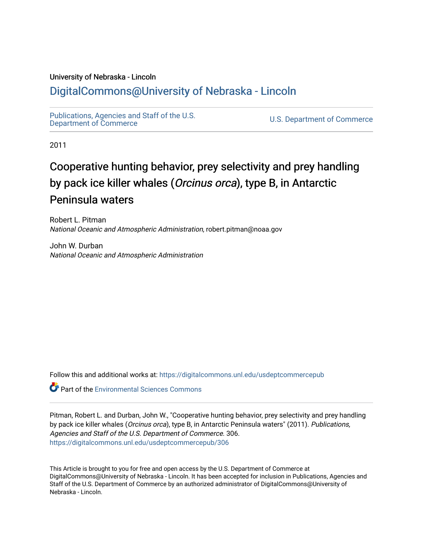## University of Nebraska - Lincoln [DigitalCommons@University of Nebraska - Lincoln](https://digitalcommons.unl.edu/)

[Publications, Agencies and Staff of the U.S.](https://digitalcommons.unl.edu/usdeptcommercepub)

U.S. [Department of Commerce](https://digitalcommons.unl.edu/usdeptcommercepub)

2011

## Cooperative hunting behavior, prey selectivity and prey handling by pack ice killer whales (Orcinus orca), type B, in Antarctic Peninsula waters

Robert L. Pitman National Oceanic and Atmospheric Administration, robert.pitman@noaa.gov

John W. Durban National Oceanic and Atmospheric Administration

Follow this and additional works at: [https://digitalcommons.unl.edu/usdeptcommercepub](https://digitalcommons.unl.edu/usdeptcommercepub?utm_source=digitalcommons.unl.edu%2Fusdeptcommercepub%2F306&utm_medium=PDF&utm_campaign=PDFCoverPages)

**Part of the [Environmental Sciences Commons](http://network.bepress.com/hgg/discipline/167?utm_source=digitalcommons.unl.edu%2Fusdeptcommercepub%2F306&utm_medium=PDF&utm_campaign=PDFCoverPages)** 

Pitman, Robert L. and Durban, John W., "Cooperative hunting behavior, prey selectivity and prey handling by pack ice killer whales (Orcinus orca), type B, in Antarctic Peninsula waters" (2011). Publications, Agencies and Staff of the U.S. Department of Commerce. 306. [https://digitalcommons.unl.edu/usdeptcommercepub/306](https://digitalcommons.unl.edu/usdeptcommercepub/306?utm_source=digitalcommons.unl.edu%2Fusdeptcommercepub%2F306&utm_medium=PDF&utm_campaign=PDFCoverPages) 

This Article is brought to you for free and open access by the U.S. Department of Commerce at DigitalCommons@University of Nebraska - Lincoln. It has been accepted for inclusion in Publications, Agencies and Staff of the U.S. Department of Commerce by an authorized administrator of DigitalCommons@University of Nebraska - Lincoln.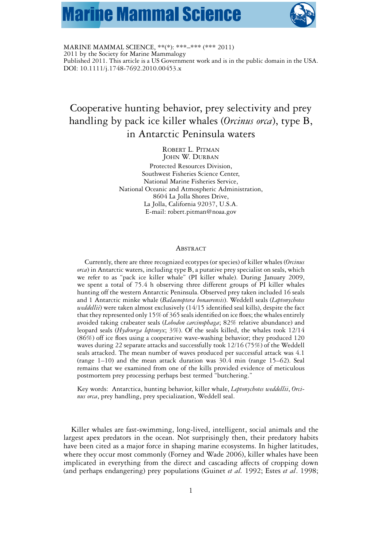# **Marine Mammal Science**



MARINE MAMMAL SCIENCE, \*\*(\*): \*\*\*–\*\*\* (\*\*\* 2011) 2011 by the Society for Marine Mammalogy Published 2011. This article is a US Government work and is in the public domain in the USA. DOI: 10.1111/j.1748-7692.2010.00453.x

### Cooperative hunting behavior, prey selectivity and prey handling by pack ice killer whales (*Orcinus orca*), type B, in Antarctic Peninsula waters

ROBERT L. PITMAN JOHN W. DURBAN

Protected Resources Division, Southwest Fisheries Science Center, National Marine Fisheries Service, National Oceanic and Atmospheric Administration, 8604 La Jolla Shores Drive, La Jolla, California 92037, U.S.A. E-mail: robert.pitman@noaa.gov

#### ABSTRACT

Currently, there are three recognized ecotypes (or species) of killer whales (*Orcinus orca*) in Antarctic waters, including type B, a putative prey specialist on seals, which we refer to as "pack ice killer whale" (PI killer whale). During January 2009, we spent a total of 75.4 h observing three different groups of PI killer whales hunting off the western Antarctic Peninsula. Observed prey taken included 16 seals and 1 Antarctic minke whale (*Balaenoptera bonaerensis*). Weddell seals (*Leptonychotes weddellii*) were taken almost exclusively (14/15 identified seal kills), despite the fact that they represented only 15% of 365 seals identified on ice floes; the whales entirely avoided taking crabeater seals (*Lobodon carcinophaga*; 82% relative abundance) and leopard seals (*Hydrurga leptonyx*; 3%). Of the seals killed, the whales took 12/14 (86%) off ice floes using a cooperative wave-washing behavior; they produced 120 waves during 22 separate attacks and successfully took 12/16 (75%) of the Weddell seals attacked. The mean number of waves produced per successful attack was 4.1 (range 1–10) and the mean attack duration was 30.4 min (range 15–62). Seal remains that we examined from one of the kills provided evidence of meticulous postmortem prey processing perhaps best termed "butchering."

Key words: Antarctica, hunting behavior, killer whale, *Leptonychotes weddellii*, *Orcinus orca*, prey handling, prey specialization, Weddell seal.

Killer whales are fast-swimming, long-lived, intelligent, social animals and the largest apex predators in the ocean. Not surprisingly then, their predatory habits have been cited as a major force in shaping marine ecosystems. In higher latitudes, where they occur most commonly (Forney and Wade 2006), killer whales have been implicated in everything from the direct and cascading affects of cropping down (and perhaps endangering) prey populations (Guinet *et al.* 1992; Estes *et al*. 1998;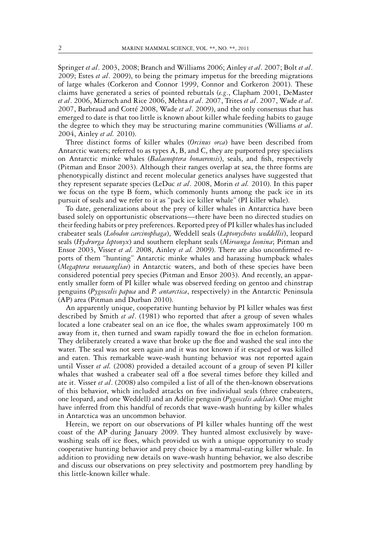Springer *et al*. 2003, 2008; Branch and Williams 2006; Ainley *et al*. 2007; Bolt *et al*. 2009; Estes *et al*. 2009), to being the primary impetus for the breeding migrations of large whales (Corkeron and Connor 1999, Connor and Corkeron 2001). These claims have generated a series of pointed rebuttals (*e.g*., Clapham 2001, DeMaster *et al*. 2006, Mizroch and Rice 2006, Mehta *et al*. 2007, Trites *et al*. 2007, Wade *et al*. 2007, Barbraud and Cotté 2008, Wade et al. 2009), and the only consensus that has emerged to date is that too little is known about killer whale feeding habits to gauge the degree to which they may be structuring marine communities (Williams *et al*. 2004, Ainley *et al.* 2010).

Three distinct forms of killer whales (*Orcinus orca*) have been described from Antarctic waters; referred to as types A, B, and C, they are purported prey specialists on Antarctic minke whales (*Balaenoptera bonaerensis*), seals, and fish, respectively (Pitman and Ensor 2003). Although their ranges overlap at sea, the three forms are phenotypically distinct and recent molecular genetics analyses have suggested that they represent separate species (LeDuc *et al*. 2008, Morin *et al.* 2010). In this paper we focus on the type B form, which commonly hunts among the pack ice in its pursuit of seals and we refer to it as "pack ice killer whale" (PI killer whale).

To date, generalizations about the prey of killer whales in Antarctica have been based solely on opportunistic observations—there have been no directed studies on their feeding habits or prey preferences. Reported prey of PI killer whales has included crabeater seals (*Lobodon carcinophaga*), Weddell seals (*Leptonychotes weddellii*), leopard seals (*Hydrurga leptonyx*) and southern elephant seals (*Mirounga leonina*; Pitman and Ensor 2003, Visser *et al.* 2008, Ainley *et al.* 2009). There are also unconfirmed reports of them "hunting" Antarctic minke whales and harassing humpback whales (*Megaptera novaeangliae*) in Antarctic waters, and both of these species have been considered potential prey species (Pitman and Ensor 2003). And recently, an apparently smaller form of PI killer whale was observed feeding on gentoo and chinstrap penguins (*Pygoscelis papua* and *P. antarctica*, respectively) in the Antarctic Peninsula (AP) area (Pitman and Durban 2010).

An apparently unique, cooperative hunting behavior by PI killer whales was first described by Smith *et al*. (1981) who reported that after a group of seven whales located a lone crabeater seal on an ice floe, the whales swam approximately 100 m away from it, then turned and swam rapidly toward the floe in echelon formation. They deliberately created a wave that broke up the floe and washed the seal into the water. The seal was not seen again and it was not known if it escaped or was killed and eaten. This remarkable wave-wash hunting behavior was not reported again until Visser *et al.* (2008) provided a detailed account of a group of seven PI killer whales that washed a crabeater seal off a floe several times before they killed and ate it. Visser *et al*. (2008) also compiled a list of all of the then-known observations of this behavior, which included attacks on five individual seals (three crabeaters, one leopard, and one Weddell) and an Adélie penguin (Pygoscelis *adeliae*). One might have inferred from this handful of records that wave-wash hunting by killer whales in Antarctica was an uncommon behavior.

Herein, we report on our observations of PI killer whales hunting off the west coast of the AP during January 2009. They hunted almost exclusively by wavewashing seals off ice floes, which provided us with a unique opportunity to study cooperative hunting behavior and prey choice by a mammal-eating killer whale. In addition to providing new details on wave-wash hunting behavior, we also describe and discuss our observations on prey selectivity and postmortem prey handling by this little-known killer whale.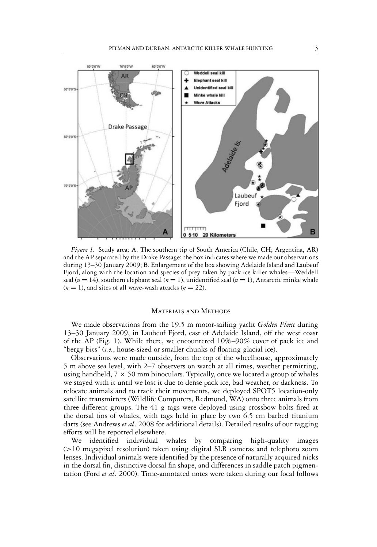

*Figure 1.* Study area: A. The southern tip of South America (Chile, CH; Argentina, AR) and the AP separated by the Drake Passage; the box indicates where we made our observations during 13–30 January 2009; B. Enlargement of the box showing Adelaide Island and Laubeuf Fjord, along with the location and species of prey taken by pack ice killer whales—Weddell seal  $(n = 14)$ , southern elephant seal  $(n = 1)$ , unidentified seal  $(n = 1)$ , Antarctic minke whale  $(n = 1)$ , and sites of all wave-wash attacks  $(n = 22)$ .

#### MATERIALS AND METHODS

We made observations from the 19.5 m motor-sailing yacht *Golden Fleece* during 13–30 January 2009, in Laubeuf Fjord, east of Adelaide Island, off the west coast of the AP (Fig. 1). While there, we encountered 10%–90% cover of pack ice and "bergy bits" (*i.e.*, house-sized or smaller chunks of floating glacial ice).

Observations were made outside, from the top of the wheelhouse, approximately 5 m above sea level, with 2–7 observers on watch at all times, weather permitting, using handheld,  $7 \times 50$  mm binoculars. Typically, once we located a group of whales we stayed with it until we lost it due to dense pack ice, bad weather, or darkness. To relocate animals and to track their movements, we deployed SPOT5 location-only satellite transmitters (Wildlife Computers, Redmond, WA) onto three animals from three different groups. The 41 g tags were deployed using crossbow bolts fired at the dorsal fins of whales, with tags held in place by two 6.5 cm barbed titanium darts (see Andrews *et al*. 2008 for additional details). Detailed results of our tagging efforts will be reported elsewhere.

We identified individual whales by comparing high-quality images (>10 megapixel resolution) taken using digital SLR cameras and telephoto zoom lenses. Individual animals were identified by the presence of naturally acquired nicks in the dorsal fin, distinctive dorsal fin shape, and differences in saddle patch pigmentation (Ford *et al*. 2000). Time-annotated notes were taken during our focal follows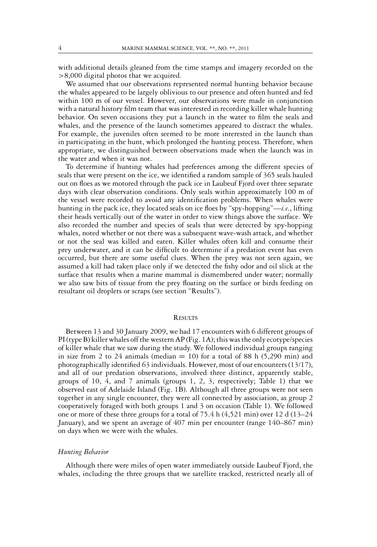with additional details gleaned from the time stamps and imagery recorded on the >8,000 digital photos that we acquired.

We assumed that our observations represented normal hunting behavior because the whales appeared to be largely oblivious to our presence and often hunted and fed within 100 m of our vessel. However, our observations were made in conjunction with a natural history film team that was interested in recording killer whale hunting behavior. On seven occasions they put a launch in the water to film the seals and whales, and the presence of the launch sometimes appeared to distract the whales. For example, the juveniles often seemed to be more interested in the launch than in participating in the hunt, which prolonged the hunting process. Therefore, when appropriate, we distinguished between observations made when the launch was in the water and when it was not.

To determine if hunting whales had preferences among the different species of seals that were present on the ice, we identified a random sample of 365 seals hauled out on floes as we motored through the pack ice in Laubeuf Fjord over three separate days with clear observation conditions. Only seals within approximately 100 m of the vessel were recorded to avoid any identification problems. When whales were hunting in the pack ice, they located seals on ice floes by "spy-hopping"—*i.e*., lifting their heads vertically out of the water in order to view things above the surface. We also recorded the number and species of seals that were detected by spy-hopping whales, noted whether or not there was a subsequent wave-wash attack, and whether or not the seal was killed and eaten. Killer whales often kill and consume their prey underwater, and it can be difficult to determine if a predation event has even occurred, but there are some useful clues. When the prey was not seen again, we assumed a kill had taken place only if we detected the fishy odor and oil slick at the surface that results when a marine mammal is dismembered under water; normally we also saw bits of tissue from the prey floating on the surface or birds feeding on resultant oil droplets or scraps (see section "Results").

#### **RESULTS**

Between 13 and 30 January 2009, we had 17 encounters with 6 different groups of PI (type B) killer whales off the western AP (Fig. 1A); this was the only ecotype/species of killer whale that we saw during the study. We followed individual groups ranging in size from 2 to 24 animals (median  $= 10$ ) for a total of 88 h (5,290 min) and photographically identified 63 individuals. However, most of our encounters (13/17), and all of our predation observations, involved three distinct, apparently stable, groups of 10, 4, and 7 animals (groups 1, 2, 3, respectively; Table 1) that we observed east of Adelaide Island (Fig. 1B). Although all three groups were not seen together in any single encounter, they were all connected by association, as group 2 cooperatively foraged with both groups 1 and 3 on occasion (Table 1). We followed one or more of these three groups for a total of 75.4 h (4,521 min) over 12 d (13–24 January), and we spent an average of 407 min per encounter (range 140–867 min) on days when we were with the whales.

#### *Hunting Behavior*

Although there were miles of open water immediately outside Laubeuf Fjord, the whales, including the three groups that we satellite tracked, restricted nearly all of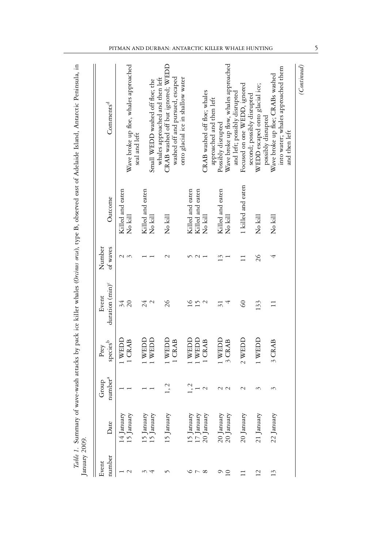| January 2009.         |                          |                                   |                              |                                      |                    |                                      | Table 1. Summary of wave-wash attacks by pack ice killer whales (Orcinus orca), type B, observed east of Adelaide Island, Antarctic Peninsula, in |
|-----------------------|--------------------------|-----------------------------------|------------------------------|--------------------------------------|--------------------|--------------------------------------|---------------------------------------------------------------------------------------------------------------------------------------------------|
| number<br>Event       | Date                     | number <sup>a</sup><br>Group      | species <sup>b</sup><br>Prey | duration (min) <sup>c</sup><br>Event | Number<br>of waves | Outcome                              | Comments <sup>d</sup>                                                                                                                             |
| $\sim$                | 14 January<br>5 January  |                                   | 1 WEDD<br>1 CRAB             | 20<br>34                             | $\sim$             | Killed and eaten<br>No kill          | Wave broke up floe, whales approached                                                                                                             |
|                       | 15 January<br>15 January |                                   | I WEDD<br>1 WEDD             | 24<br>$\mathbf 2$                    |                    | Killed and eaten<br>No kill          | Small WEDD washed off floe; the<br>seal and left                                                                                                  |
|                       | [5 January               | 1, 2                              | 1 WEDD<br>1 CRAB             | 26                                   |                    | No kill                              | CRAB washed off but ignored; WEDD<br>whales approached and then left<br>washed off and pursued, escaped<br>onto glacial ice in shallow water      |
|                       | 5 January<br>[7] January | 1, 2                              | 1 WEDD<br>I WEDD             | $\geq$<br>$\overline{15}$            | $\mathbf{\sim}$    | Killed and eaten<br>Killed and eaten |                                                                                                                                                   |
| $\infty$              | 20 January               |                                   | 1 CRAB                       | $\mathbf 2$                          |                    | No kill                              | CRAB washed off floe; whales                                                                                                                      |
| $\circ$               | 20 January<br>20 January | $\mathbf 2$<br>$\scriptstyle\sim$ | 1 WEDD<br>3 CRAB             | $\overline{5}$                       | $\frac{3}{2}$      | Killed and eaten<br>No kill          | Wave broke up flow, whales approached<br>approached and then left<br>Possibly disrupted                                                           |
|                       | 20 January               | $\scriptstyle\sim$                | 2 WEDD                       | 60                                   |                    | 1 killed and eaten                   | Focused on one WEDD, ignored<br>and left; possibly disrupted                                                                                      |
| $\mathbf{\sim}$       | 21 January               | S                                 | I WEDD                       | 133                                  | 26                 | No kill                              | WEDD escaped onto glacial ice;<br>second; possibly disrupted                                                                                      |
| $\tilde{\mathcal{C}}$ | 22 January               | ξ                                 | 3 CRAB                       | $\Box$                               | 4                  | No kill                              | into water; whales approached them<br>Wave broke up floe; CRABs washed<br>possibly disrupted<br>and then left                                     |
|                       |                          |                                   |                              |                                      |                    |                                      | (Continued)                                                                                                                                       |

PITMAN AND DURBAN: ANTARCTIC KILLER WHALE HUNTING 5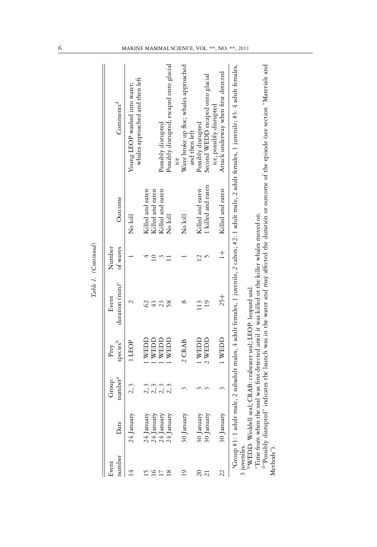| Event     |                          | Group               | Prey                 | Event                                                                                         | Number         |                    |                                                                                                                                                               |
|-----------|--------------------------|---------------------|----------------------|-----------------------------------------------------------------------------------------------|----------------|--------------------|---------------------------------------------------------------------------------------------------------------------------------------------------------------|
| number    | Date                     | number <sup>a</sup> | species <sup>b</sup> | duration (min) <sup>c</sup>                                                                   | of waves       | Outcome            | Comments <sup>d</sup>                                                                                                                                         |
| 그         | 24 January               | ξ<br>$\overline{a}$ | 1 LEOP               |                                                                                               |                | No kill            | whales approached and then left<br>Young LEOP washed into water;                                                                                              |
|           | 24 January               |                     | WEDD                 | S                                                                                             |                | Killed and eaten   |                                                                                                                                                               |
|           | $24$ January             | กำกำ                | WEDD                 | 43                                                                                            | $\supseteq$    | Killed and eaten   |                                                                                                                                                               |
|           | $24\ {\rm January}$      |                     | WEDD                 | 23                                                                                            |                | Killed and eaten   | Possibly disrupted                                                                                                                                            |
|           | 24 January               |                     | 1 WEDD               | 58                                                                                            |                | No kill            | Possibly disrupted; escaped onto glacial                                                                                                                      |
|           |                          |                     |                      |                                                                                               |                |                    | ıce                                                                                                                                                           |
|           | 30 January               |                     | 2 CRAB               | ∞                                                                                             |                | No kill            | Wave broke up floe; whales approached<br>and then left                                                                                                        |
| $\approx$ |                          |                     | I WEDD               | 113                                                                                           | $\overline{2}$ | Killed and eaten   | Possibly disrupted                                                                                                                                            |
|           | 30 January<br>30 January |                     | 2 WEDD               | $\overline{19}$                                                                               |                | 1 killed and eaten | Second WEDD escaped onto glacial                                                                                                                              |
|           |                          |                     |                      |                                                                                               |                |                    | ice, possibly disrupted                                                                                                                                       |
|           | 30 January               | S                   | 1 WEDD               | $25 +$                                                                                        | $\pm$          | Killed and eaten   | Attack underway when first detected                                                                                                                           |
|           |                          |                     |                      |                                                                                               |                |                    | a Group #1: 1 adult male, 2 subadult males, 4 adult females, 1 juvenile, 2 calves; #2: 1 adult male, 2 adult females, 1 juvenile; #3: 4 adult females,        |
|           |                          |                     |                      | 3 juveniles.<br><sup>b</sup> WEDD: Weddell seal; CRAB: crabeater seal; LEOP: leopard seal.    |                |                    |                                                                                                                                                               |
|           |                          |                     |                      | Time from when the seal was first detected until it was killed or the killer whales moved on. |                |                    | d <sup>1.</sup> Possibly disrupted" indicates the launch was in the water and may affected the duration or outcome of the episode (see section "Materials and |
| Methods") |                          |                     |                      |                                                                                               |                |                    |                                                                                                                                                               |

Table 1. (Continued) *Table 1. (Continued)*

6 MARINE MAMMAL SCIENCE, VOL. \*\*, NO. \*\*, 2011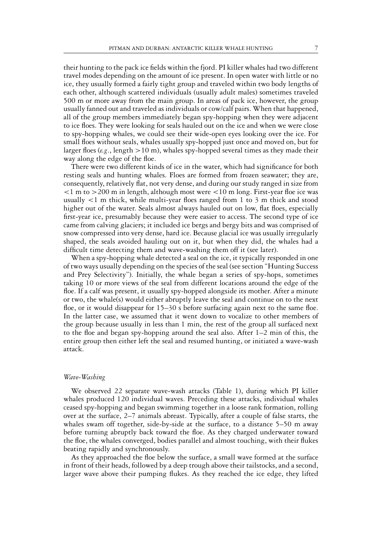their hunting to the pack ice fields within the fjord. PI killer whales had two different travel modes depending on the amount of ice present. In open water with little or no ice, they usually formed a fairly tight group and traveled within two body lengths of each other, although scattered individuals (usually adult males) sometimes traveled 500 m or more away from the main group. In areas of pack ice, however, the group usually fanned out and traveled as individuals or cow/calf pairs. When that happened, all of the group members immediately began spy-hopping when they were adjacent to ice floes. They were looking for seals hauled out on the ice and when we were close to spy-hopping whales, we could see their wide-open eyes looking over the ice. For small floes without seals, whales usually spy-hopped just once and moved on, but for larger floes ( $e.g.,$  length  $>10$  m), whales spy-hopped several times as they made their way along the edge of the floe.

There were two different kinds of ice in the water, which had significance for both resting seals and hunting whales. Floes are formed from frozen seawater; they are, consequently, relatively flat, not very dense, and during our study ranged in size from  $<$ 1 m to  $>$  200 m in length, although most were  $<$ 10 m long. First-year floe ice was usually <1 m thick, while multi-year floes ranged from 1 to 3 m thick and stood higher out of the water. Seals almost always hauled out on low, flat floes, especially first-year ice, presumably because they were easier to access. The second type of ice came from calving glaciers; it included ice bergs and bergy bits and was comprised of snow compressed into very dense, hard ice. Because glacial ice was usually irregularly shaped, the seals avoided hauling out on it, but when they did, the whales had a difficult time detecting them and wave-washing them off it (see later).

When a spy-hopping whale detected a seal on the ice, it typically responded in one of two ways usually depending on the species of the seal (see section "Hunting Success and Prey Selectivity"). Initially, the whale began a series of spy-hops, sometimes taking 10 or more views of the seal from different locations around the edge of the floe. If a calf was present, it usually spy-hopped alongside its mother. After a minute or two, the whale(s) would either abruptly leave the seal and continue on to the next floe, or it would disappear for 15–30 s before surfacing again next to the same floe. In the latter case, we assumed that it went down to vocalize to other members of the group because usually in less than 1 min, the rest of the group all surfaced next to the floe and began spy-hopping around the seal also. After 1–2 min of this, the entire group then either left the seal and resumed hunting, or initiated a wave-wash attack.

#### *Wave-Washing*

We observed 22 separate wave-wash attacks (Table 1), during which PI killer whales produced 120 individual waves. Preceding these attacks, individual whales ceased spy-hopping and began swimming together in a loose rank formation, rolling over at the surface, 2–7 animals abreast. Typically, after a couple of false starts, the whales swam off together, side-by-side at the surface, to a distance 5–50 m away before turning abruptly back toward the floe. As they charged underwater toward the floe, the whales converged, bodies parallel and almost touching, with their flukes beating rapidly and synchronously.

As they approached the floe below the surface, a small wave formed at the surface in front of their heads, followed by a deep trough above their tailstocks, and a second, larger wave above their pumping flukes. As they reached the ice edge, they lifted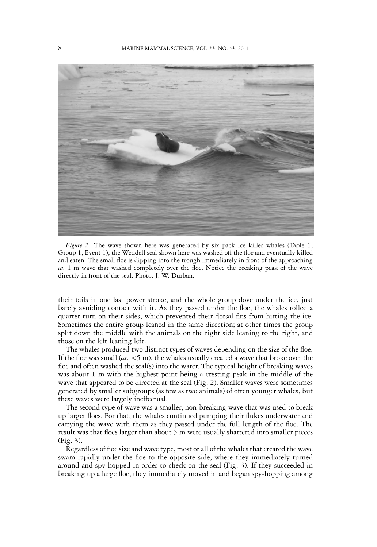

*Figure 2.* The wave shown here was generated by six pack ice killer whales (Table 1, Group 1, Event 1); the Weddell seal shown here was washed off the floe and eventually killed and eaten. The small floe is dipping into the trough immediately in front of the approaching *ca.* 1 m wave that washed completely over the floe. Notice the breaking peak of the wave directly in front of the seal. Photo: J. W. Durban.

their tails in one last power stroke, and the whole group dove under the ice, just barely avoiding contact with it. As they passed under the floe, the whales rolled a quarter turn on their sides, which prevented their dorsal fins from hitting the ice. Sometimes the entire group leaned in the same direction; at other times the group split down the middle with the animals on the right side leaning to the right, and those on the left leaning left.

The whales produced two distinct types of waves depending on the size of the floe. If the floe was small  $(ca. < 5 \text{ m})$ , the whales usually created a wave that broke over the floe and often washed the seal(s) into the water. The typical height of breaking waves was about 1 m with the highest point being a cresting peak in the middle of the wave that appeared to be directed at the seal (Fig. 2). Smaller waves were sometimes generated by smaller subgroups (as few as two animals) of often younger whales, but these waves were largely ineffectual.

The second type of wave was a smaller, non-breaking wave that was used to break up larger floes. For that, the whales continued pumping their flukes underwater and carrying the wave with them as they passed under the full length of the floe. The result was that floes larger than about 5 m were usually shattered into smaller pieces (Fig. 3).

Regardless of floe size and wave type, most or all of the whales that created the wave swam rapidly under the floe to the opposite side, where they immediately turned around and spy-hopped in order to check on the seal (Fig. 3). If they succeeded in breaking up a large floe, they immediately moved in and began spy-hopping among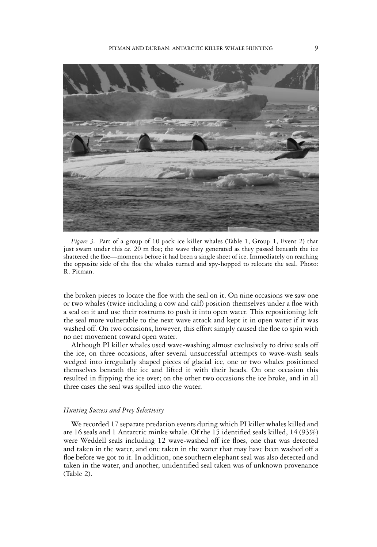

*Figure 3.* Part of a group of 10 pack ice killer whales (Table 1, Group 1, Event 2) that just swam under this *ca.* 20 m floe; the wave they generated as they passed beneath the ice shattered the floe—moments before it had been a single sheet of ice. Immediately on reaching the opposite side of the floe the whales turned and spy-hopped to relocate the seal. Photo: R. Pitman.

the broken pieces to locate the floe with the seal on it. On nine occasions we saw one or two whales (twice including a cow and calf) position themselves under a floe with a seal on it and use their rostrums to push it into open water. This repositioning left the seal more vulnerable to the next wave attack and kept it in open water if it was washed off. On two occasions, however, this effort simply caused the floe to spin with no net movement toward open water.

Although PI killer whales used wave-washing almost exclusively to drive seals off the ice, on three occasions, after several unsuccessful attempts to wave-wash seals wedged into irregularly shaped pieces of glacial ice, one or two whales positioned themselves beneath the ice and lifted it with their heads. On one occasion this resulted in flipping the ice over; on the other two occasions the ice broke, and in all three cases the seal was spilled into the water.

#### *Hunting Success and Prey Selectivity*

We recorded 17 separate predation events during which PI killer whales killed and ate 16 seals and 1 Antarctic minke whale. Of the 15 identified seals killed, 14 (93%) were Weddell seals including 12 wave-washed off ice floes, one that was detected and taken in the water, and one taken in the water that may have been washed off a floe before we got to it. In addition, one southern elephant seal was also detected and taken in the water, and another, unidentified seal taken was of unknown provenance (Table 2).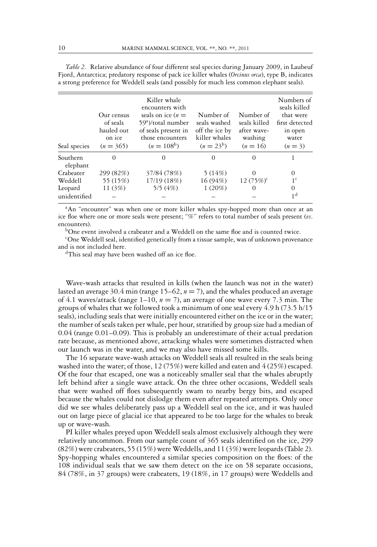| Seal species         | Our census<br>of seals<br>hauled out<br>on ice<br>$(n = 365)$ | Killer whale<br>encounters with<br>seals on ice $(n =$<br>59 <sup>a</sup> )/total number<br>of seals present in<br>those encounters<br>$(n = 108^b)$ | Number of<br>seals washed<br>off the ice by<br>killer whales<br>$(n = 23^b)$ | Number of<br>seals killed<br>after wave-<br>washing<br>$(n = 16)$ | Numbers of<br>seals killed<br>that were<br>first detected<br>in open<br>water<br>$(n = 3)$ |
|----------------------|---------------------------------------------------------------|------------------------------------------------------------------------------------------------------------------------------------------------------|------------------------------------------------------------------------------|-------------------------------------------------------------------|--------------------------------------------------------------------------------------------|
| Southern<br>elephant | $\Omega$                                                      | $\left( \right)$                                                                                                                                     | $\theta$                                                                     | 0                                                                 |                                                                                            |
| Crabeater            | 299 (82%)                                                     | 37/84 (78%)                                                                                                                                          | 5(14%)                                                                       | $\Omega$                                                          | $\Omega$                                                                                   |
| Weddell              | 55 (15%)                                                      | 17/19 (18%)                                                                                                                                          | 16(94%)                                                                      | 12 $(75%)^c$                                                      | 1 <sup>c</sup>                                                                             |
| Leopard              | 11 $(3%)$                                                     | 5/5(4%)                                                                                                                                              | 1(20%)                                                                       | $\Omega$                                                          | $\Omega$                                                                                   |
| unidentified         |                                                               |                                                                                                                                                      |                                                                              |                                                                   | 1 <sup>d</sup>                                                                             |

*Table 2.* Relative abundance of four different seal species during January 2009, in Laubeuf Fjord, Antarctica; predatory response of pack ice killer whales (*Orcinus orca*), type B, indicates a strong preference for Weddell seals (and possibly for much less common elephant seals).

<sup>a</sup>An "encounter" was when one or more killer whales spy-hopped more than once at an ice floe where one or more seals were present; "%" refers to total number of seals present (*vs*. encounters).

bOne event involved a crabeater and a Weddell on the same floe and is counted twice.

<sup>c</sup>One Weddell seal, identified genetically from a tissue sample, was of unknown provenance and is not included here.<br><sup>d</sup>This seal may have been washed off an ice floe.

Wave-wash attacks that resulted in kills (when the launch was not in the water) lasted an average 30.4 min (range 15–62, *n* = 7), and the whales produced an average of 4.1 waves/attack (range 1–10, *n* = 7), an average of one wave every 7.3 min. The groups of whales that we followed took a minimum of one seal every 4.9 h (73.5 h/15 seals), including seals that were initially encountered either on the ice or in the water; the number of seals taken per whale, per hour, stratified by group size had a median of 0.04 (range 0.01–0.09). This is probably an underestimate of their actual predation rate because, as mentioned above, attacking whales were sometimes distracted when our launch was in the water, and we may also have missed some kills.

The 16 separate wave-wash attacks on Weddell seals all resulted in the seals being washed into the water; of those, 12 (75%) were killed and eaten and 4 (25%) escaped. Of the four that escaped, one was a noticeably smaller seal that the whales abruptly left behind after a single wave attack. On the three other occasions, Weddell seals that were washed off floes subsequently swam to nearby bergy bits, and escaped because the whales could not dislodge them even after repeated attempts. Only once did we see whales deliberately pass up a Weddell seal on the ice, and it was hauled out on large piece of glacial ice that appeared to be too large for the whales to break up or wave-wash.

PI killer whales preyed upon Weddell seals almost exclusively although they were relatively uncommon. From our sample count of 365 seals identified on the ice, 299 (82%) were crabeaters, 55 (15%) were Weddells, and 11 (3%) were leopards (Table 2). Spy-hopping whales encountered a similar species composition on the floes: of the 108 individual seals that we saw them detect on the ice on 58 separate occasions, 84 (78%, in 37 groups) were crabeaters, 19 (18%, in 17 groups) were Weddells and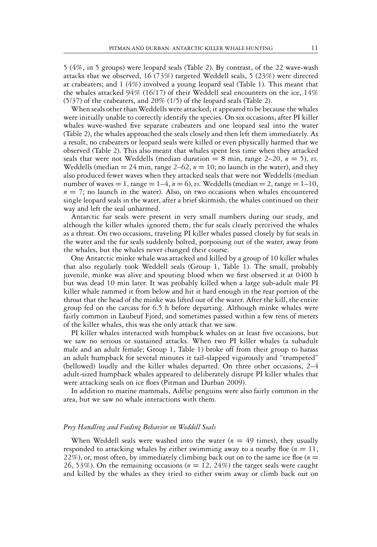5 (4%, in 5 groups) were leopard seals (Table 2). By contrast, of the 22 wave-wash attacks that we observed, 16 (73%) targeted Weddell seals, 5 (23%) were directed at crabeaters; and 1 (4%) involved a young leopard seal (Table 1). This meant that the whales attacked 94% (16/17) of their Weddell seal encounters on the ice, 14% (5/37) of the crabeaters, and 20% (1/5) of the leopard seals (Table 2).

When seals other thanWeddells were attacked, it appeared to be because the whales were initially unable to correctly identify the species. On six occasions, after PI killer whales wave-washed five separate crabeaters and one leopard seal into the water (Table 2), the whales approached the seals closely and then left them immediately. As a result, no crabeaters or leopard seals were killed or even physically harmed that we observed (Table 2). This also meant that whales spent less time when they attacked seals that were not Weddells (median duration  $= 8$  min, range 2–20,  $n = 5$ ), *vs.* Weddells (median  $= 24$  min, range  $2-62$ ,  $n = 10$ ; no launch in the water), and they also produced fewer waves when they attacked seals that were not Weddells (median number of waves  $= 1$ , range  $= 1-4$ ,  $n = 6$ ), *vs.* Weddells (median  $= 2$ , range  $= 1-10$ ,  $n = 7$ ; no launch in the water). Also, on two occasions when whales encountered single leopard seals in the water, after a brief skirmish, the whales continued on their way and left the seal unharmed.

Antarctic fur seals were present in very small numbers during our study, and although the killer whales ignored them, the fur seals clearly perceived the whales as a threat. On two occasions, traveling PI killer whales passed closely by fur seals in the water and the fur seals suddenly bolted, porpoising out of the water, away from the whales, but the whales never changed their course.

One Antarctic minke whale was attacked and killed by a group of 10 killer whales that also regularly took Weddell seals (Group 1, Table 1). The small, probably juvenile, minke was alive and spouting blood when we first observed it at 0400 h but was dead 10 min later. It was probably killed when a large sub-adult male PI killer whale rammed it from below and hit it hard enough in the rear portion of the throat that the head of the minke was lifted out of the water. After the kill, the entire group fed on the carcass for 6.5 h before departing. Although minke whales were fairly common in Laubeuf Fjord, and sometimes passed within a few tens of meters of the killer whales, this was the only attack that we saw.

PI killer whales interacted with humpback whales on at least five occasions, but we saw no serious or sustained attacks. When two PI killer whales (a subadult male and an adult female; Group 1, Table 1) broke off from their group to harass an adult humpback for several minutes it tail-slapped vigorously and "trumpeted" (bellowed) loudly and the killer whales departed. On three other occasions, 2–4 adult-sized humpback whales appeared to deliberately disrupt PI killer whales that were attacking seals on ice floes (Pitman and Durban 2009).

In addition to marine mammals, Adélie penguins were also fairly common in the area, but we saw no whale interactions with them.

#### *Prey Handling and Feeding Behavior on Weddell Seals*

When Weddell seals were washed into the water  $(n = 49 \text{ times})$ , they usually responded to attacking whales by either swimming away to a nearby floe  $(n = 11)$ , 22%), or, most often, by immediately climbing back out on to the same ice floe ( $n =$ 26, 53%). On the remaining occasions ( $n = 12, 24%$ ) the target seals were caught and killed by the whales as they tried to either swim away or climb back out on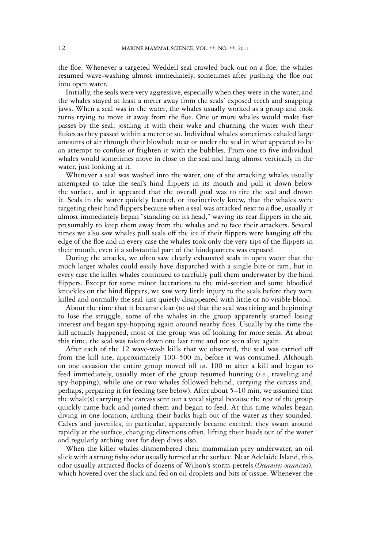the floe. Whenever a targeted Weddell seal crawled back out on a floe, the whales resumed wave-washing almost immediately, sometimes after pushing the floe out into open water.

Initially, the seals were very aggressive, especially when they were in the water, and the whales stayed at least a meter away from the seals' exposed teeth and snapping jaws. When a seal was in the water, the whales usually worked as a group and took turns trying to move it away from the floe. One or more whales would make fast passes by the seal, jostling it with their wake and churning the water with their flukes as they passed within a meter or so. Individual whales sometimes exhaled large amounts of air through their blowhole near or under the seal in what appeared to be an attempt to confuse or frighten it with the bubbles. From one to five individual whales would sometimes move in close to the seal and hang almost vertically in the water, just looking at it.

Whenever a seal was washed into the water, one of the attacking whales usually attempted to take the seal's hind flippers in its mouth and pull it down below the surface, and it appeared that the overall goal was to tire the seal and drown it. Seals in the water quickly learned, or instinctively knew, that the whales were targeting their hind flippers because when a seal was attacked next to a floe, usually it almost immediately began "standing on its head," waving its rear flippers in the air, presumably to keep them away from the whales and to face their attackers. Several times we also saw whales pull seals off the ice if their flippers were hanging off the edge of the floe and in every case the whales took only the very tips of the flippers in their mouth, even if a substantial part of the hindquarters was exposed.

During the attacks, we often saw clearly exhausted seals in open water that the much larger whales could easily have dispatched with a single bite or ram, but in every case the killer whales continued to carefully pull them underwater by the hind flippers. Except for some minor lacerations to the mid-section and some bloodied knuckles on the hind flippers, we saw very little injury to the seals before they were killed and normally the seal just quietly disappeared with little or no visible blood.

About the time that it became clear (to us) that the seal was tiring and beginning to lose the struggle, some of the whales in the group apparently started losing interest and began spy-hopping again around nearby floes. Usually by the time the kill actually happened, most of the group was off looking for more seals. At about this time, the seal was taken down one last time and not seen alive again.

After each of the 12 wave-wash kills that we observed, the seal was carried off from the kill site, approximately 100–500 m, before it was consumed. Although on one occasion the entire group moved off *ca*. 100 m after a kill and began to feed immediately, usually most of the group resumed hunting (*i.e*., traveling and spy-hopping), while one or two whales followed behind, carrying the carcass and, perhaps, preparing it for feeding (see below). After about 5–10 min, we assumed that the whale(s) carrying the carcass sent out a vocal signal because the rest of the group quickly came back and joined them and began to feed. At this time whales began diving in one location, arching their backs high out of the water as they sounded. Calves and juveniles, in particular, apparently became excited: they swam around rapidly at the surface, changing directions often, lifting their heads out of the water and regularly arching over for deep dives also.

When the killer whales dismembered their mammalian prey underwater, an oil slick with a strong fishy odor usually formed at the surface. Near Adelaide Island, this odor usually attracted flocks of dozens of Wilson's storm-petrels (*Oceanites oceanicus*), which hovered over the slick and fed on oil droplets and bits of tissue. Whenever the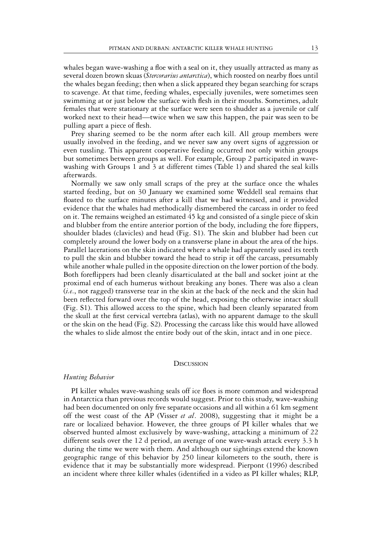whales began wave-washing a floe with a seal on it, they usually attracted as many as several dozen brown skuas (*Stercorarius antarctica*), which roosted on nearby floes until the whales began feeding; then when a slick appeared they began searching for scraps to scavenge. At that time, feeding whales, especially juveniles, were sometimes seen swimming at or just below the surface with flesh in their mouths. Sometimes, adult females that were stationary at the surface were seen to shudder as a juvenile or calf worked next to their head—twice when we saw this happen, the pair was seen to be pulling apart a piece of flesh.

Prey sharing seemed to be the norm after each kill. All group members were usually involved in the feeding, and we never saw any overt signs of aggression or even tussling. This apparent cooperative feeding occurred not only within groups but sometimes between groups as well. For example, Group 2 participated in wavewashing with Groups 1 and 3 at different times (Table 1) and shared the seal kills afterwards.

Normally we saw only small scraps of the prey at the surface once the whales started feeding, but on 30 January we examined some Weddell seal remains that floated to the surface minutes after a kill that we had witnessed, and it provided evidence that the whales had methodically dismembered the carcass in order to feed on it. The remains weighed an estimated 45 kg and consisted of a single piece of skin and blubber from the entire anterior portion of the body, including the fore flippers, shoulder blades (clavicles) and head (Fig. S1). The skin and blubber had been cut completely around the lower body on a transverse plane in about the area of the hips. Parallel lacerations on the skin indicated where a whale had apparently used its teeth to pull the skin and blubber toward the head to strip it off the carcass, presumably while another whale pulled in the opposite direction on the lower portion of the body. Both foreflippers had been cleanly disarticulated at the ball and socket joint at the proximal end of each humerus without breaking any bones. There was also a clean (*i.e*., not ragged) transverse tear in the skin at the back of the neck and the skin had been reflected forward over the top of the head, exposing the otherwise intact skull (Fig. S1). This allowed access to the spine, which had been cleanly separated from the skull at the first cervical vertebra (atlas), with no apparent damage to the skull or the skin on the head (Fig. S2). Processing the carcass like this would have allowed the whales to slide almost the entire body out of the skin, intact and in one piece.

#### **DISCUSSION**

#### *Hunting Behavior*

PI killer whales wave-washing seals off ice floes is more common and widespread in Antarctica than previous records would suggest. Prior to this study, wave-washing had been documented on only five separate occasions and all within a 61 km segment off the west coast of the AP (Visser *et al*. 2008), suggesting that it might be a rare or localized behavior. However, the three groups of PI killer whales that we observed hunted almost exclusively by wave-washing, attacking a minimum of 22 different seals over the 12 d period, an average of one wave-wash attack every 3.3 h during the time we were with them. And although our sightings extend the known geographic range of this behavior by 250 linear kilometers to the south, there is evidence that it may be substantially more widespread. Pierpont (1996) described an incident where three killer whales (identified in a video as PI killer whales; RLP,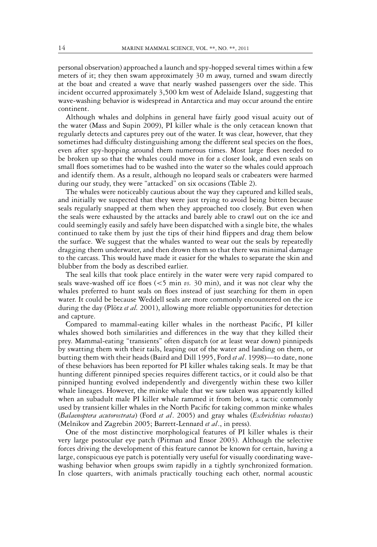personal observation) approached a launch and spy-hopped several times within a few meters of it; they then swam approximately 30 m away, turned and swam directly at the boat and created a wave that nearly washed passengers over the side. This incident occurred approximately 3,500 km west of Adelaide Island, suggesting that wave-washing behavior is widespread in Antarctica and may occur around the entire continent.

Although whales and dolphins in general have fairly good visual acuity out of the water (Mass and Supin 2009), PI killer whale is the only cetacean known that regularly detects and captures prey out of the water. It was clear, however, that they sometimes had difficulty distinguishing among the different seal species on the floes, even after spy-hopping around them numerous times. Most large floes needed to be broken up so that the whales could move in for a closer look, and even seals on small floes sometimes had to be washed into the water so the whales could approach and identify them. As a result, although no leopard seals or crabeaters were harmed during our study, they were "attacked" on six occasions (Table 2).

The whales were noticeably cautious about the way they captured and killed seals, and initially we suspected that they were just trying to avoid being bitten because seals regularly snapped at them when they approached too closely. But even when the seals were exhausted by the attacks and barely able to crawl out on the ice and could seemingly easily and safely have been dispatched with a single bite, the whales continued to take them by just the tips of their hind flippers and drag them below the surface. We suggest that the whales wanted to wear out the seals by repeatedly dragging them underwater, and then drown them so that there was minimal damage to the carcass. This would have made it easier for the whales to separate the skin and blubber from the body as described earlier.

The seal kills that took place entirely in the water were very rapid compared to seals wave-washed off ice floes (<5 min *vs.* 30 min), and it was not clear why the whales preferred to hunt seals on floes instead of just searching for them in open water. It could be because Weddell seals are more commonly encountered on the ice during the day (Plötz *et al.* 2001), allowing more reliable opportunities for detection and capture.

Compared to mammal-eating killer whales in the northeast Pacific, PI killer whales showed both similarities and differences in the way that they killed their prey. Mammal-eating "transients" often dispatch (or at least wear down) pinnipeds by swatting them with their tails, leaping out of the water and landing on them, or butting them with their heads (Baird and Dill 1995, Ford *et al*. 1998)—to date, none of these behaviors has been reported for PI killer whales taking seals. It may be that hunting different pinniped species requires different tactics, or it could also be that pinniped hunting evolved independently and divergently within these two killer whale lineages. However, the minke whale that we saw taken was apparently killed when an subadult male PI killer whale rammed it from below, a tactic commonly used by transient killer whales in the North Pacific for taking common minke whales (*Balaenoptera acutorostrata*) (Ford *et al*. 2005) and gray whales (*Eschrichtius robustus*) (Melnikov and Zagrebin 2005; Barrett-Lennard *et al*., in press).

One of the most distinctive morphological features of PI killer whales is their very large postocular eye patch (Pitman and Ensor 2003). Although the selective forces driving the development of this feature cannot be known for certain, having a large, conspicuous eye patch is potentially very useful for visually coordinating wavewashing behavior when groups swim rapidly in a tightly synchronized formation. In close quarters, with animals practically touching each other, normal acoustic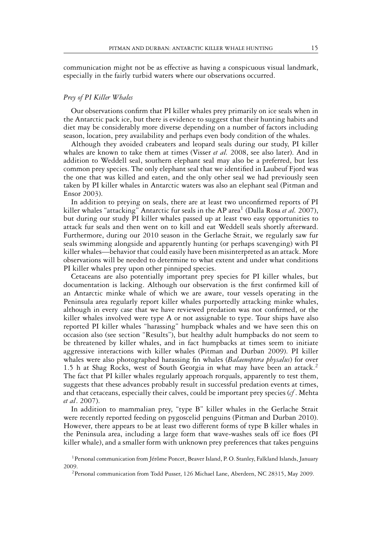communication might not be as effective as having a conspicuous visual landmark, especially in the fairly turbid waters where our observations occurred.

#### *Prey of PI Killer Whales*

Our observations confirm that PI killer whales prey primarily on ice seals when in the Antarctic pack ice, but there is evidence to suggest that their hunting habits and diet may be considerably more diverse depending on a number of factors including season, location, prey availability and perhaps even body condition of the whales.

Although they avoided crabeaters and leopard seals during our study, PI killer whales are known to take them at times (Visser *et al.* 2008, see also later). And in addition to Weddell seal, southern elephant seal may also be a preferred, but less common prey species. The only elephant seal that we identified in Laubeuf Fjord was the one that was killed and eaten, and the only other seal we had previously seen taken by PI killer whales in Antarctic waters was also an elephant seal (Pitman and Ensor 2003).

In addition to preying on seals, there are at least two unconfirmed reports of PI killer whales "attacking" Antarctic fur seals in the AP area<sup>1</sup> (Dalla Rosa *et al.* 2007), but during our study PI killer whales passed up at least two easy opportunities to attack fur seals and then went on to kill and eat Weddell seals shortly afterward. Furthermore, during our 2010 season in the Gerlache Strait, we regularly saw fur seals swimming alongside and apparently hunting (or perhaps scavenging) with PI killer whales—behavior that could easily have been misinterpreted as an attack. More observations will be needed to determine to what extent and under what conditions PI killer whales prey upon other pinniped species.

Cetaceans are also potentially important prey species for PI killer whales, but documentation is lacking. Although our observation is the first confirmed kill of an Antarctic minke whale of which we are aware, tour vessels operating in the Peninsula area regularly report killer whales purportedly attacking minke whales, although in every case that we have reviewed predation was not confirmed, or the killer whales involved were type A or not assignable to type. Tour ships have also reported PI killer whales "harassing" humpback whales and we have seen this on occasion also (see section "Results"), but healthy adult humpbacks do not seem to be threatened by killer whales, and in fact humpbacks at times seem to initiate aggressive interactions with killer whales (Pitman and Durban 2009). PI killer whales were also photographed harassing fin whales (*Balaenoptera physalus*) for over 1.5 h at Shag Rocks, west of South Georgia in what may have been an attack.<sup>2</sup> The fact that PI killer whales regularly approach rorquals, apparently to test them, suggests that these advances probably result in successful predation events at times, and that cetaceans, especially their calves, could be important prey species (*cf* . Mehta *et al*. 2007).

In addition to mammalian prey, "type B" killer whales in the Gerlache Strait were recently reported feeding on pygoscelid penguins (Pitman and Durban 2010). However, there appears to be at least two different forms of type B killer whales in the Peninsula area, including a large form that wave-washes seals off ice floes (PI killer whale), and a smaller form with unknown prey preferences that takes penguins

<sup>&</sup>lt;sup>1</sup> Personal communication from Jérôme Poncet, Beaver Island, P. O. Stanley, Falkland Islands, January 2009.

<sup>2</sup>Personal communication from Todd Pusser, 126 Michael Lane, Aberdeen, NC 28315, May 2009.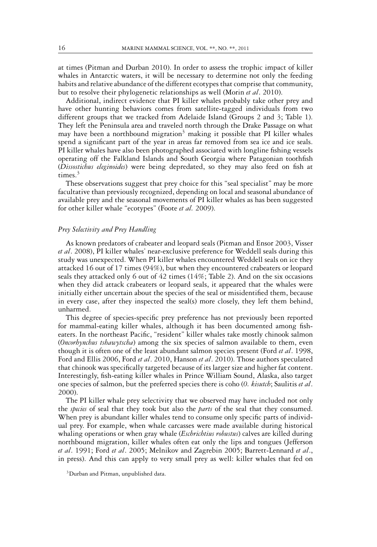at times (Pitman and Durban 2010). In order to assess the trophic impact of killer whales in Antarctic waters, it will be necessary to determine not only the feeding habits and relative abundance of the different ecotypes that comprise that community, but to resolve their phylogenetic relationships as well (Morin *et al*. 2010).

Additional, indirect evidence that PI killer whales probably take other prey and have other hunting behaviors comes from satellite-tagged individuals from two different groups that we tracked from Adelaide Island (Groups 2 and 3; Table 1). They left the Peninsula area and traveled north through the Drake Passage on what may have been a northbound migration<sup>3</sup> making it possible that PI killer whales spend a significant part of the year in areas far removed from sea ice and ice seals. PI killer whales have also been photographed associated with longline fishing vessels operating off the Falkland Islands and South Georgia where Patagonian toothfish (*Dissostichus eleginoides*) were being depredated, so they may also feed on fish at times.<sup>3</sup>

These observations suggest that prey choice for this "seal specialist" may be more facultative than previously recognized, depending on local and seasonal abundance of available prey and the seasonal movements of PI killer whales as has been suggested for other killer whale "ecotypes" (Foote *et al.* 2009).

#### *Prey Selectivity and Prey Handling*

As known predators of crabeater and leopard seals (Pitman and Ensor 2003, Visser *et al*. 2008), PI killer whales' near-exclusive preference for Weddell seals during this study was unexpected. When PI killer whales encountered Weddell seals on ice they attacked 16 out of 17 times (94%), but when they encountered crabeaters or leopard seals they attacked only 6 out of 42 times (14%; Table 2). And on the six occasions when they did attack crabeaters or leopard seals, it appeared that the whales were initially either uncertain about the species of the seal or misidentified them, because in every case, after they inspected the seal(s) more closely, they left them behind, unharmed.

This degree of species-specific prey preference has not previously been reported for mammal-eating killer whales, although it has been documented among fisheaters. In the northeast Pacific, "resident" killer whales take mostly chinook salmon (*Oncorhynchus tshawytscha*) among the six species of salmon available to them, even though it is often one of the least abundant salmon species present (Ford *et al*. 1998, Ford and Ellis 2006, Ford *et al*. 2010, Hanson *et al*. 2010). Those authors speculated that chinook was specifically targeted because of its larger size and higher fat content. Interestingly, fish-eating killer whales in Prince William Sound, Alaska, also target one species of salmon, but the preferred species there is coho (*0. kisutch*; Saulitis *et al*. 2000).

The PI killer whale prey selectivity that we observed may have included not only the *species* of seal that they took but also the *parts* of the seal that they consumed. When prey is abundant killer whales tend to consume only specific parts of individual prey. For example, when whale carcasses were made available during historical whaling operations or when gray whale (*Eschrichtius robustus*) calves are killed during northbound migration, killer whales often eat only the lips and tongues (Jefferson *et al*. 1991; Ford *et al*. 2005; Melnikov and Zagrebin 2005; Barrett-Lennard *et al*., in press). And this can apply to very small prey as well: killer whales that fed on

<sup>&</sup>lt;sup>3</sup>Durban and Pitman, unpublished data.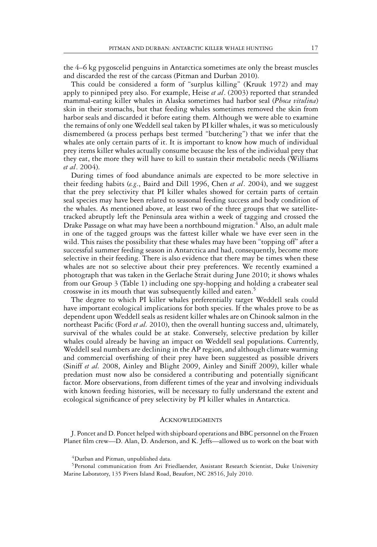the 4–6 kg pygoscelid penguins in Antarctica sometimes ate only the breast muscles and discarded the rest of the carcass (Pitman and Durban 2010).

This could be considered a form of "surplus killing" (Kruuk 1972) and may apply to pinniped prey also. For example, Heise *et al*. (2003) reported that stranded mammal-eating killer whales in Alaska sometimes had harbor seal (*Phoca vitulina*) skin in their stomachs, but that feeding whales sometimes removed the skin from harbor seals and discarded it before eating them. Although we were able to examine the remains of only one Weddell seal taken by PI killer whales, it was so meticulously dismembered (a process perhaps best termed "butchering") that we infer that the whales ate only certain parts of it. It is important to know how much of individual prey items killer whales actually consume because the less of the individual prey that they eat, the more they will have to kill to sustain their metabolic needs (Williams *et al*. 2004).

During times of food abundance animals are expected to be more selective in their feeding habits (*e.g*., Baird and Dill 1996, Chen *et al*. 2004), and we suggest that the prey selectivity that PI killer whales showed for certain parts of certain seal species may have been related to seasonal feeding success and body condition of the whales. As mentioned above, at least two of the three groups that we satellitetracked abruptly left the Peninsula area within a week of tagging and crossed the Drake Passage on what may have been a northbound migration.<sup>4</sup> Also, an adult male in one of the tagged groups was the fattest killer whale we have ever seen in the wild. This raises the possibility that these whales may have been "topping off" after a successful summer feeding season in Antarctica and had, consequently, become more selective in their feeding. There is also evidence that there may be times when these whales are not so selective about their prey preferences. We recently examined a photograph that was taken in the Gerlache Strait during June 2010; it shows whales from our Group 3 (Table 1) including one spy-hopping and holding a crabeater seal crosswise in its mouth that was subsequently killed and eaten.<sup>5</sup>

The degree to which PI killer whales preferentially target Weddell seals could have important ecological implications for both species. If the whales prove to be as dependent upon Weddell seals as resident killer whales are on Chinook salmon in the northeast Pacific (Ford *et al.* 2010), then the overall hunting success and, ultimately, survival of the whales could be at stake. Conversely, selective predation by killer whales could already be having an impact on Weddell seal populations. Currently, Weddell seal numbers are declining in the AP region, and although climate warming and commercial overfishing of their prey have been suggested as possible drivers (Siniff *et al.* 2008, Ainley and Blight 2009, Ainley and Siniff 2009), killer whale predation must now also be considered a contributing and potentially significant factor. More observations, from different times of the year and involving individuals with known feeding histories, will be necessary to fully understand the extent and ecological significance of prey selectivity by PI killer whales in Antarctica.

#### ACKNOWLEDGMENTS

J. Poncet and D. Poncet helped with shipboard operations and BBC personnel on the Frozen Planet film crew—D. Alan, D. Anderson, and K. Jeffs—allowed us to work on the boat with

<sup>&</sup>lt;sup>4</sup>Durban and Pitman, unpublished data.

<sup>&</sup>lt;sup>5</sup>Personal communication from Ari Friedlaender, Assistant Research Scientist, Duke University Marine Laboratory, 135 Pivers Island Road, Beaufort, NC 28516, July 2010.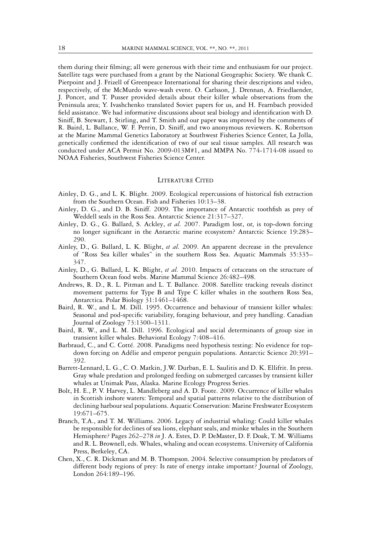them during their filming; all were generous with their time and enthusiasm for our project. Satellite tags were purchased from a grant by the National Geographic Society. We thank C. Pierpoint and J. Frizell of Greenpeace International for sharing their descriptions and video, respectively, of the McMurdo wave-wash event. O. Carlsson, J. Drennan, A. Friedlaender, J. Poncet, and T. Pusser provided details about their killer whale observations from the Peninsula area; Y. Ivashchenko translated Soviet papers for us, and H. Fearnbach provided field assistance. We had informative discussions about seal biology and identification with D. Siniff, B. Stewart, I. Stirling, and T. Smith and our paper was improved by the comments of R. Baird, L. Ballance, W. F. Perrin, D. Siniff, and two anonymous reviewers. K. Robertson at the Marine Mammal Genetics Laboratory at Southwest Fisheries Science Center, La Jolla, genetically confirmed the identification of two of our seal tissue samples. All research was conducted under ACA Permit No. 2009-013M#1, and MMPA No. 774-1714-08 issued to NOAA Fisheries, Southwest Fisheries Science Center.

#### LITERATURE CITED

- Ainley, D. G., and L. K. Blight. 2009. Ecological repercussions of historical fish extraction from the Southern Ocean. Fish and Fisheries 10:13–38.
- Ainley, D. G., and D. B. Siniff. 2009. The importance of Antarctic toothfish as prey of Weddell seals in the Ross Sea. Antarctic Science 21:317–327.
- Ainley, D. G., G. Ballard, S. Ackley, *et al.* 2007. Paradigm lost, or, is top-down forcing no longer significant in the Antarctic marine ecosystem? Antarctic Science 19:283– 290.
- Ainley, D., G. Ballard, L. K. Blight, *et al.* 2009. An apparent decrease in the prevalence of "Ross Sea killer whales" in the southern Ross Sea. Aquatic Mammals 35:335– 347.
- Ainley, D., G. Ballard, L. K. Blight, *et al.* 2010. Impacts of cetaceans on the structure of Southern Ocean food webs. Marine Mammal Science 26:482–498.
- Andrews, R. D., R. L. Pitman and L. T. Ballance. 2008. Satellite tracking reveals distinct movement patterns for Type B and Type C killer whales in the southern Ross Sea, Antarctica. Polar Biology 31:1461–1468.
- Baird, R. W., and L. M. Dill. 1995. Occurrence and behaviour of transient killer whales: Seasonal and pod-specific variability, foraging behaviour, and prey handling. Canadian Journal of Zoology 73:1300–1311.
- Baird, R. W., and L. M. Dill. 1996. Ecological and social determinants of group size in transient killer whales. Behavioral Ecology 7:408–416.
- Barbraud, C., and C. Cotté. 2008. Paradigms need hypothesis testing: No evidence for topdown forcing on Adélie and emperor penguin populations. Antarctic Science 20:391– 392.
- Barrett-Lennard, L. G., C. O. Matkin, J.W. Durban, E. L. Saulitis and D. K. Ellifrit. In press. Gray whale predation and prolonged feeding on submerged carcasses by transient killer whales at Unimak Pass, Alaska. Marine Ecology Progress Series.
- Bolt, H. E., P. V. Harvey, L. Mandleberg and A. D. Foote. 2009. Occurrence of killer whales in Scottish inshore waters: Temporal and spatial patterns relative to the distribution of declining harbour seal populations. Aquatic Conservation: Marine Freshwater Ecosystem 19:671–675.
- Branch, T.A., and T. M. Williams. 2006. Legacy of industrial whaling: Could killer whales be responsible for declines of sea lions, elephant seals, and minke whales in the Southern Hemisphere? Pages 262–278 *in* J. A. Estes, D. P. DeMaster, D. F. Doak, T. M. Williams and R. L. Brownell, eds. Whales, whaling and ocean ecosystems. University of California Press, Berkeley, CA.
- Chen, X., C. R. Dickman and M. B. Thompson. 2004. Selective consumption by predators of different body regions of prey: Is rate of energy intake important? Journal of Zoology, London 264:189–196.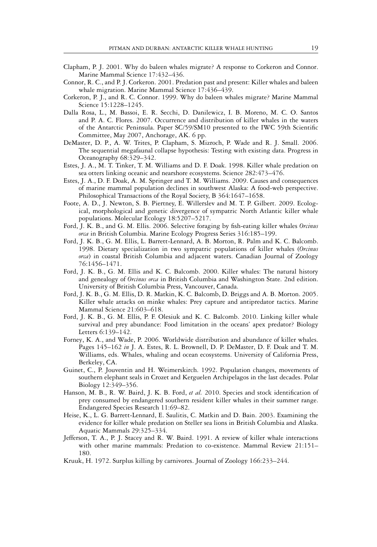- Clapham, P. J. 2001. Why do baleen whales migrate? A response to Corkeron and Connor. Marine Mammal Science 17:432–436.
- Connor, R. C., and P. J. Corkeron. 2001. Predation past and present: Killer whales and baleen whale migration. Marine Mammal Science 17:436–439.
- Corkeron, P. J., and R. C. Connor. 1999. Why do baleen whales migrate? Marine Mammal Science 15:1228–1245.
- Dalla Rosa, L., M. Bassoi, E. R. Secchi, D. Danilewicz, I. B. Moreno, M. C. O. Santos and P. A. C. Flores. 2007. Occurrence and distribution of killer whales in the waters of the Antarctic Peninsula. Paper SC/59/SM10 presented to the IWC 59th Scientific Committee, May 2007, Anchorage, AK. 6 pp.
- DeMaster, D. P., A. W. Trites, P. Clapham, S. Mizroch, P. Wade and R. J. Small. 2006. The sequential megafaunal collapse hypothesis: Testing with existing data. Progress in Oceanography 68:329–342.
- Estes, J. A., M. T. Tinker, T. M. Williams and D. F. Doak. 1998. Killer whale predation on sea otters linking oceanic and nearshore ecosystems. Science 282:473–476.
- Estes, J. A., D. F. Doak, A. M. Springer and T. M. Williams. 2009. Causes and consequences of marine mammal population declines in southwest Alaska: A food-web perspective. Philosophical Transactions of the Royal Society, B 364:1647–1658.
- Foote, A. D., J. Newton, S. B. Piertney, E. Willerslev and M. T. P. Gilbert. 2009. Ecological, morphological and genetic divergence of sympatric North Atlantic killer whale populations. Molecular Ecology 18:5207–5217.
- Ford, J. K. B., and G. M. Ellis. 2006. Selective foraging by fish-eating killer whales *Orcinus orca* in British Columbia. Marine Ecology Progress Series 316:185–199.
- Ford, J. K. B., G. M. Ellis, L. Barrett-Lennard, A. B. Morton, R. Palm and K. C. Balcomb. 1998. Dietary specialization in two sympatric populations of killer whales (*Orcinus orca*) in coastal British Columbia and adjacent waters. Canadian Journal of Zoology 76:1456–1471.
- Ford, J. K. B., G. M. Ellis and K. C. Balcomb. 2000. Killer whales: The natural history and genealogy of *Orcinus orca* in British Columbia and Washington State. 2nd edition. University of British Columbia Press, Vancouver, Canada.
- Ford, J. K. B., G. M. Ellis, D. R. Matkin, K. C. Balcomb, D. Briggs and A. B. Morton. 2005. Killer whale attacks on minke whales: Prey capture and antipredator tactics. Marine Mammal Science 21:603–618.
- Ford, J. K. B., G. M. Ellis, P. F. Olesiuk and K. C. Balcomb. 2010. Linking killer whale survival and prey abundance: Food limitation in the oceans' apex predator? Biology Letters 6:139–142.
- Forney, K. A., and Wade, P. 2006. Worldwide distribution and abundance of killer whales. Pages 145–162 *in* J. A. Estes, R. L. Brownell, D. P. DeMaster, D. F. Doak and T. M. Williams, eds. Whales, whaling and ocean ecosystems. University of California Press, Berkeley, CA.
- Guinet, C., P. Jouventin and H. Weimerskirch. 1992. Population changes, movements of southern elephant seals in Crozet and Kerguelen Archipelagos in the last decades. Polar Biology 12:349–356.
- Hanson, M. B., R. W. Baird, J. K. B. Ford, *et al.* 2010. Species and stock identification of prey consumed by endangered southern resident killer whales in their summer range. Endangered Species Research 11:69–82.
- Heise, K., L. G. Barrett-Lennard, E. Saulitis, C. Matkin and D. Bain. 2003. Examining the evidence for killer whale predation on Steller sea lions in British Columbia and Alaska. Aquatic Mammals 29:325–334.
- Jefferson, T. A., P. J. Stacey and R. W. Baird. 1991. A review of killer whale interactions with other marine mammals: Predation to co-existence. Mammal Review 21:151– 180.
- Kruuk, H. 1972. Surplus killing by carnivores. Journal of Zoology 166:233–244.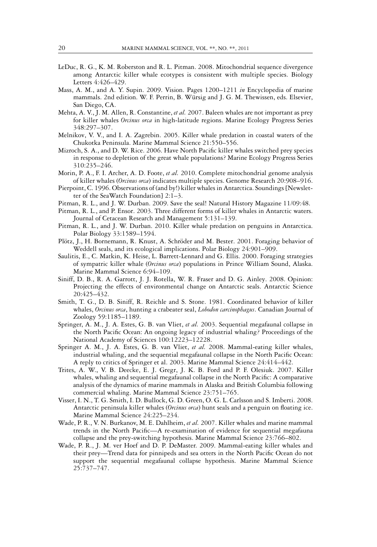- LeDuc, R. G., K. M. Roberston and R. L. Pitman. 2008. Mitochondrial sequence divergence among Antarctic killer whale ecotypes is consistent with multiple species. Biology Letters 4:426–429.
- Mass, A. M., and A. Y. Supin. 2009. Vision. Pages 1200–1211 *in* Encyclopedia of marine mammals. 2nd edition. W. F. Perrin, B. Würsig and J. G. M. Thewissen, eds. Elsevier, San Diego, CA.
- Mehta, A. V., J. M. Allen, R. Constantine, *et al.* 2007. Baleen whales are not important as prey for killer whales *Orcinus orca* in high-latitude regions. Marine Ecology Progress Series 348:297–307.
- Melnikov, V. V., and I. A. Zagrebin. 2005. Killer whale predation in coastal waters of the Chukotka Peninsula. Marine Mammal Science 21:550–556.
- Mizroch, S. A., and D. W. Rice. 2006. Have North Pacific killer whales switched prey species in response to depletion of the great whale populations? Marine Ecology Progress Series 310:235–246.
- Morin, P. A., F. I. Archer, A. D. Foote, *et al.* 2010. Complete mitochondrial genome analysis of killer whales (*Orcinus orca*) indicates multiple species. Genome Research 20:908–916.
- Pierpoint, C. 1996. Observations of (and by!) killer whales in Antarctica. Soundings [Newsletter of the SeaWatch Foundation] 2:1–3.
- Pitman, R. L., and J. W. Durban. 2009. Save the seal! Natural History Magazine 11/09:48.
- Pitman, R. L., and P. Ensor. 2003. Three different forms of killer whales in Antarctic waters. Journal of Cetacean Research and Management 5:131–139.
- Pitman, R. L., and J. W. Durban. 2010. Killer whale predation on penguins in Antarctica. Polar Biology 33:1589–1594.
- Plötz, J., H. Bornemann, R. Knust, A. Schröder and M. Bester. 2001. Foraging behavior of Weddell seals, and its ecological implications. Polar Biology 24:901–909.
- Saulitis, E., C. Matkin, K. Heise, L. Barrett-Lennard and G. Ellis. 2000. Foraging strategies of sympatric killer whale (*Orcinus orca*) populations in Prince William Sound, Alaska. Marine Mammal Science 6:94–109.
- Siniff, D. B., R. A. Garrott, J. J. Rotella, W. R. Fraser and D. G. Ainley. 2008. Opinion: Projecting the effects of environmental change on Antarctic seals. Antarctic Science 20:425–432.
- Smith, T. G., D. B. Siniff, R. Reichle and S. Stone. 1981. Coordinated behavior of killer whales, *Orcinus orca*, hunting a crabeater seal, *Lobodon carcinophagus*. Canadian Journal of Zoology 59:1185–1189.
- Springer, A. M., J. A. Estes, G. B. van Vliet, *et al.* 2003. Sequential megafaunal collapse in the North Pacific Ocean: An ongoing legacy of industrial whaling? Proceedings of the National Academy of Sciences 100:12223–12228.
- Springer A. M., J. A. Estes, G. B. van Vliet, *et al.* 2008. Mammal-eating killer whales, industrial whaling, and the sequential megafaunal collapse in the North Pacific Ocean: A reply to critics of Springer et al. 2003. Marine Mammal Science 24:414–442.
- Trites, A. W., V. B. Deecke, E. J. Gregr, J. K. B. Ford and P. F. Olesiuk. 2007. Killer whales, whaling and sequential megafaunal collapse in the North Pacific: A comparative analysis of the dynamics of marine mammals in Alaska and British Columbia following commercial whaling. Marine Mammal Science 23:751–765.
- Visser, I. N., T. G. Smith, I. D. Bullock, G. D. Green, O. G. L. Carlsson and S. Imberti. 2008. Antarctic peninsula killer whales (*Orcinus orca*) hunt seals and a penguin on floating ice. Marine Mammal Science 24:225–234.
- Wade, P. R., V. N. Burkanov, M. E. Dahlheim, *et al.* 2007. Killer whales and marine mammal trends in the North Pacific—A re-examination of evidence for sequential megafauna collapse and the prey-switching hypothesis. Marine Mammal Science 23:766–802.
- Wade, P. R., J. M. ver Hoef and D. P. DeMaster. 2009. Mammal-eating killer whales and their prey—Trend data for pinnipeds and sea otters in the North Pacific Ocean do not support the sequential megafaunal collapse hypothesis. Marine Mammal Science 25:737–747.